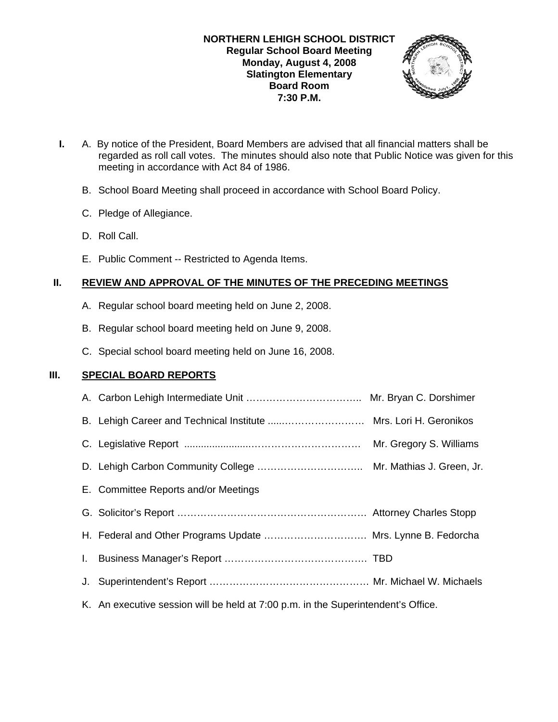

- **I.** A. By notice of the President, Board Members are advised that all financial matters shall be regarded as roll call votes. The minutes should also note that Public Notice was given for this meeting in accordance with Act 84 of 1986.
	- B. School Board Meeting shall proceed in accordance with School Board Policy.
	- C. Pledge of Allegiance.
	- D. Roll Call.
	- E. Public Comment -- Restricted to Agenda Items.

# **II. REVIEW AND APPROVAL OF THE MINUTES OF THE PRECEDING MEETINGS**

- A. Regular school board meeting held on June 2, 2008.
- B. Regular school board meeting held on June 9, 2008.
- C. Special school board meeting held on June 16, 2008.

### **III. SPECIAL BOARD REPORTS**

|                                                                                   | Mr. Gregory S. Williams |
|-----------------------------------------------------------------------------------|-------------------------|
|                                                                                   |                         |
| E. Committee Reports and/or Meetings                                              |                         |
|                                                                                   |                         |
| H. Federal and Other Programs Update  Mrs. Lynne B. Fedorcha                      |                         |
|                                                                                   |                         |
|                                                                                   |                         |
| K. An executive session will be held at 7:00 p.m. in the Superintendent's Office. |                         |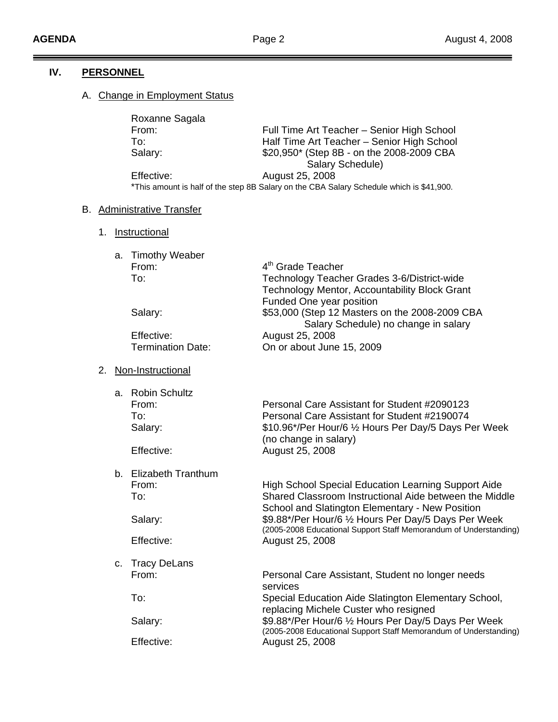Ξ

 $\equiv$ 

# **IV. PERSONNEL**

# A. Change in Employment Status

| Roxanne Sagala |                                                                                          |
|----------------|------------------------------------------------------------------------------------------|
| From:          | Full Time Art Teacher - Senior High School                                               |
| To∶            | Half Time Art Teacher - Senior High School                                               |
| Salary:        | \$20,950* (Step 8B - on the 2008-2009 CBA                                                |
|                | Salary Schedule)                                                                         |
| Effective:     | August 25, 2008                                                                          |
|                | *This amount is half of the step 8B Salary on the CBA Salary Schedule which is \$41,900. |

# B. Administrative Transfer

1. Instructional

| a. Timothy Weaber        |                                                |
|--------------------------|------------------------------------------------|
| From:                    | 4 <sup>th</sup> Grade Teacher                  |
| To:                      | Technology Teacher Grades 3-6/District-wide    |
|                          | Technology Mentor, Accountability Block Grant  |
|                          | Funded One year position                       |
| Salary:                  | \$53,000 (Step 12 Masters on the 2008-2009 CBA |
|                          | Salary Schedule) no change in salary           |
| Effective:               | August 25, 2008                                |
| <b>Termination Date:</b> | On or about June 15, 2009                      |

# 2. Non-Instructional

|    | a. Robin Schultz    |                                                                                                                           |
|----|---------------------|---------------------------------------------------------------------------------------------------------------------------|
|    | From:               | Personal Care Assistant for Student #2090123                                                                              |
|    | To:                 | Personal Care Assistant for Student #2190074                                                                              |
|    | Salary:             | \$10.96*/Per Hour/6 1/2 Hours Per Day/5 Days Per Week<br>(no change in salary)                                            |
|    | Effective:          | August 25, 2008                                                                                                           |
| b. | Elizabeth Tranthum  |                                                                                                                           |
|    | From:               | <b>High School Special Education Learning Support Aide</b>                                                                |
|    | To:                 | Shared Classroom Instructional Aide between the Middle<br>School and Slatington Elementary - New Position                 |
|    | Salary:             | \$9.88*/Per Hour/6 1/2 Hours Per Day/5 Days Per Week<br>(2005-2008 Educational Support Staff Memorandum of Understanding) |
|    | Effective:          | August 25, 2008                                                                                                           |
| C. | <b>Tracy DeLans</b> |                                                                                                                           |
|    | From:               | Personal Care Assistant, Student no longer needs<br>services                                                              |
|    | To:                 | Special Education Aide Slatington Elementary School,<br>replacing Michele Custer who resigned                             |
|    | Salary:             | \$9.88*/Per Hour/6 1/2 Hours Per Day/5 Days Per Week<br>(2005-2008 Educational Support Staff Memorandum of Understanding) |
|    | Effective:          | August 25, 2008                                                                                                           |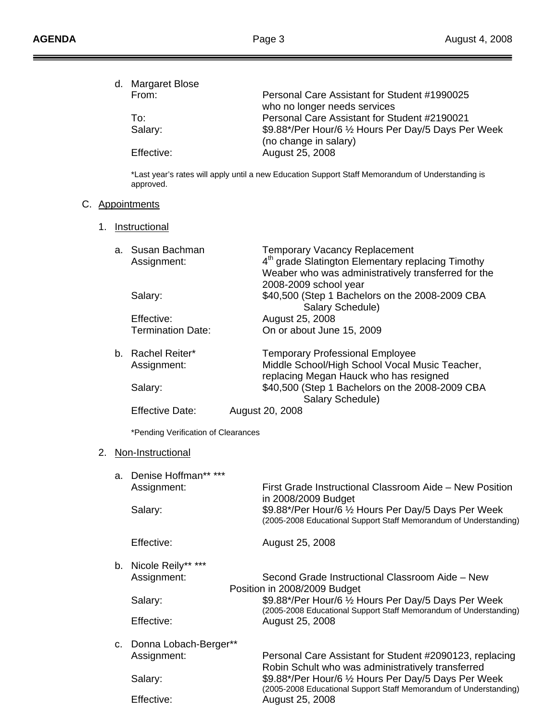Ξ =  $\equiv$ 

|    |    | d. Margaret Blose<br>From:<br>To:<br>Salary:<br>Effective:<br>approved.<br>C. Appointments | Personal Care Assistant for Student #1990025<br>who no longer needs services<br>Personal Care Assistant for Student #2190021<br>\$9.88*/Per Hour/6 1/2 Hours Per Day/5 Days Per Week<br>(no change in salary)<br>August 25, 2008<br>*Last year's rates will apply until a new Education Support Staff Memorandum of Understanding is |
|----|----|--------------------------------------------------------------------------------------------|--------------------------------------------------------------------------------------------------------------------------------------------------------------------------------------------------------------------------------------------------------------------------------------------------------------------------------------|
| 1. |    | <b>Instructional</b>                                                                       |                                                                                                                                                                                                                                                                                                                                      |
|    |    | a. Susan Bachman<br>Assignment:<br>Salary:                                                 | <b>Temporary Vacancy Replacement</b><br>4 <sup>th</sup> grade Slatington Elementary replacing Timothy<br>Weaber who was administratively transferred for the<br>2008-2009 school year<br>\$40,500 (Step 1 Bachelors on the 2008-2009 CBA                                                                                             |
|    |    | Effective:<br><b>Termination Date:</b>                                                     | Salary Schedule)<br>August 25, 2008<br>On or about June 15, 2009                                                                                                                                                                                                                                                                     |
|    |    | b. Rachel Reiter*<br>Assignment:<br>Salary:                                                | <b>Temporary Professional Employee</b><br>Middle School/High School Vocal Music Teacher,<br>replacing Megan Hauck who has resigned<br>\$40,500 (Step 1 Bachelors on the 2008-2009 CBA<br>Salary Schedule)                                                                                                                            |
|    |    | <b>Effective Date:</b>                                                                     | August 20, 2008                                                                                                                                                                                                                                                                                                                      |
|    |    | *Pending Verification of Clearances                                                        |                                                                                                                                                                                                                                                                                                                                      |
| 2. |    | Non-Instructional                                                                          |                                                                                                                                                                                                                                                                                                                                      |
|    |    | a. Denise Hoffman** ***<br>Assignment:                                                     | First Grade Instructional Classroom Aide - New Position<br>in 2008/2009 Budget                                                                                                                                                                                                                                                       |
|    |    | Salary:                                                                                    | \$9.88*/Per Hour/6 1/2 Hours Per Day/5 Days Per Week<br>(2005-2008 Educational Support Staff Memorandum of Understanding)                                                                                                                                                                                                            |
|    |    | Effective:                                                                                 | August 25, 2008                                                                                                                                                                                                                                                                                                                      |
|    |    | b. Nicole Reily** ***<br>Assignment:<br>Salary:                                            | Second Grade Instructional Classroom Aide - New<br>Position in 2008/2009 Budget<br>\$9.88*/Per Hour/6 1/2 Hours Per Day/5 Days Per Week                                                                                                                                                                                              |
|    |    | Effective:                                                                                 | (2005-2008 Educational Support Staff Memorandum of Understanding)<br>August 25, 2008                                                                                                                                                                                                                                                 |
|    | c. | Donna Lobach-Berger**<br>Assignment:                                                       | Personal Care Assistant for Student #2090123, replacing<br>Robin Schult who was administratively transferred                                                                                                                                                                                                                         |
|    |    | Salary:<br>Effective:                                                                      | \$9.88*/Per Hour/6 1/2 Hours Per Day/5 Days Per Week<br>(2005-2008 Educational Support Staff Memorandum of Understanding)<br>August 25, 2008                                                                                                                                                                                         |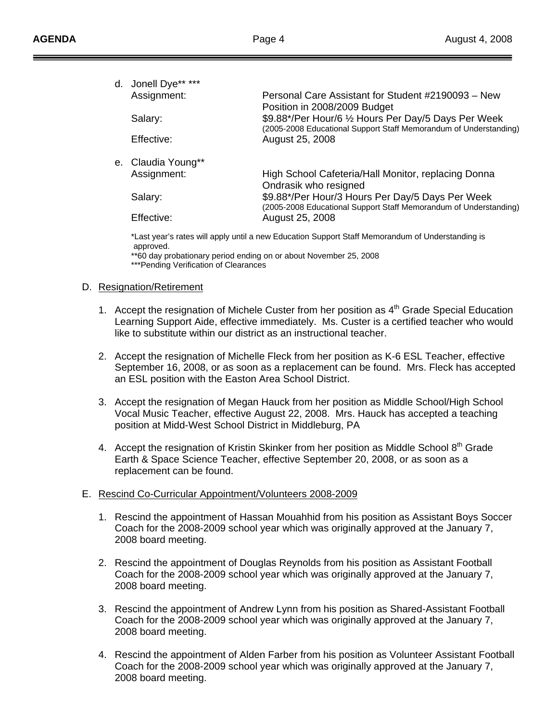| d. Jonell Dye** *** |                                                                                      |
|---------------------|--------------------------------------------------------------------------------------|
| Assignment:         | Personal Care Assistant for Student #2190093 - New                                   |
| Salary:             | Position in 2008/2009 Budget<br>\$9.88*/Per Hour/6 1/2 Hours Per Day/5 Days Per Week |
| Effective:          | (2005-2008 Educational Support Staff Memorandum of Understanding)<br>August 25, 2008 |
| e. Claudia Young**  |                                                                                      |
| Assignment:         | High School Cafeteria/Hall Monitor, replacing Donna<br>Ondrasik who resigned         |
| Salary:             | \$9.88*/Per Hour/3 Hours Per Day/5 Days Per Week                                     |
| Effective:          | (2005-2008 Educational Support Staff Memorandum of Understanding)<br>August 25, 2008 |
|                     |                                                                                      |

\*Last year's rates will apply until a new Education Support Staff Memorandum of Understanding is approved.

\*\*60 day probationary period ending on or about November 25, 2008 \*\*\*Pending Verification of Clearances

#### D. Resignation/Retirement

Ī

- 1. Accept the resignation of Michele Custer from her position as 4<sup>th</sup> Grade Special Education Learning Support Aide, effective immediately. Ms. Custer is a certified teacher who would like to substitute within our district as an instructional teacher.
- 2. Accept the resignation of Michelle Fleck from her position as K-6 ESL Teacher, effective September 16, 2008, or as soon as a replacement can be found. Mrs. Fleck has accepted an ESL position with the Easton Area School District.
- 3. Accept the resignation of Megan Hauck from her position as Middle School/High School Vocal Music Teacher, effective August 22, 2008. Mrs. Hauck has accepted a teaching position at Midd-West School District in Middleburg, PA
- 4. Accept the resignation of Kristin Skinker from her position as Middle School  $8<sup>th</sup>$  Grade Earth & Space Science Teacher, effective September 20, 2008, or as soon as a replacement can be found.

#### E. Rescind Co-Curricular Appointment/Volunteers 2008-2009

- 1. Rescind the appointment of Hassan Mouahhid from his position as Assistant Boys Soccer Coach for the 2008-2009 school year which was originally approved at the January 7, 2008 board meeting.
- 2. Rescind the appointment of Douglas Reynolds from his position as Assistant Football Coach for the 2008-2009 school year which was originally approved at the January 7, 2008 board meeting.
- 3. Rescind the appointment of Andrew Lynn from his position as Shared-Assistant Football Coach for the 2008-2009 school year which was originally approved at the January 7, 2008 board meeting.
- 4. Rescind the appointment of Alden Farber from his position as Volunteer Assistant Football Coach for the 2008-2009 school year which was originally approved at the January 7, 2008 board meeting.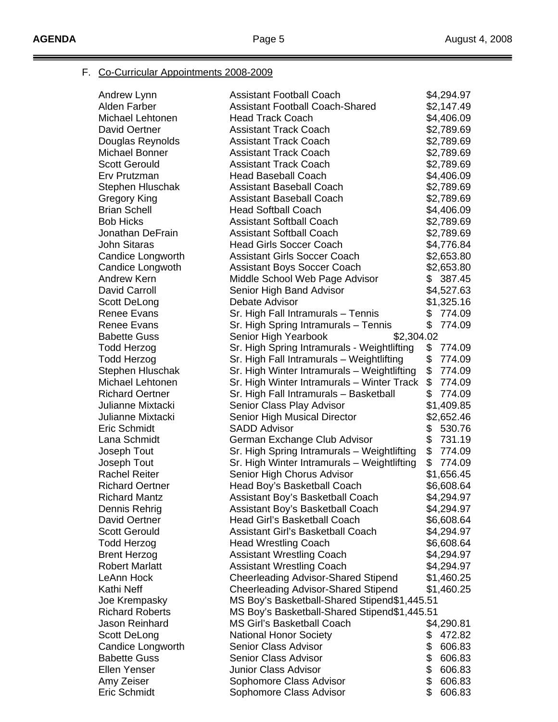Ξ

 $\equiv$ 

# F. Co-Curricular Appointments 2008-2009

| Andrew Lynn                       | <b>Assistant Football Coach</b>                       |          | \$4,294.97       |
|-----------------------------------|-------------------------------------------------------|----------|------------------|
| Alden Farber                      | <b>Assistant Football Coach-Shared</b>                |          | \$2,147.49       |
| Michael Lehtonen                  | <b>Head Track Coach</b>                               |          | \$4,406.09       |
| <b>David Oertner</b>              | <b>Assistant Track Coach</b>                          |          | \$2,789.69       |
| Douglas Reynolds                  | <b>Assistant Track Coach</b>                          |          | \$2,789.69       |
| Michael Bonner                    | <b>Assistant Track Coach</b>                          |          | \$2,789.69       |
| <b>Scott Gerould</b>              | <b>Assistant Track Coach</b>                          |          | \$2,789.69       |
| Erv Prutzman                      | <b>Head Baseball Coach</b>                            |          | \$4,406.09       |
| Stephen Hluschak                  | <b>Assistant Baseball Coach</b>                       |          | \$2,789.69       |
| Gregory King                      | <b>Assistant Baseball Coach</b>                       |          | \$2,789.69       |
| <b>Brian Schell</b>               | <b>Head Softball Coach</b>                            |          | \$4,406.09       |
| <b>Bob Hicks</b>                  | <b>Assistant Softball Coach</b>                       |          | \$2,789.69       |
| Jonathan DeFrain                  | <b>Assistant Softball Coach</b>                       |          | \$2,789.69       |
| <b>John Sitaras</b>               | <b>Head Girls Soccer Coach</b>                        |          | \$4,776.84       |
| Candice Longworth                 | <b>Assistant Girls Soccer Coach</b>                   |          | \$2,653.80       |
| Candice Longwoth                  | <b>Assistant Boys Soccer Coach</b>                    |          | \$2,653.80       |
| <b>Andrew Kern</b>                | Middle School Web Page Advisor                        |          | \$387.45         |
| David Carroll                     | Senior High Band Advisor                              |          | \$4,527.63       |
| Scott DeLong                      | Debate Advisor                                        |          | \$1,325.16       |
| <b>Renee Evans</b>                | Sr. High Fall Intramurals - Tennis                    |          | \$774.09         |
| Renee Evans                       | Sr. High Spring Intramurals - Tennis                  |          | \$774.09         |
| <b>Babette Guss</b>               | \$2,304.02<br>Senior High Yearbook                    |          |                  |
| <b>Todd Herzog</b>                | Sr. High Spring Intramurals - Weightlifting           | \$       | 774.09           |
| <b>Todd Herzog</b>                | Sr. High Fall Intramurals - Weightlifting             | \$       | 774.09           |
| Stephen Hluschak                  | Sr. High Winter Intramurals - Weightlifting           | \$       | 774.09           |
| Michael Lehtonen                  | Sr. High Winter Intramurals - Winter Track            | \$       | 774.09           |
| <b>Richard Oertner</b>            | Sr. High Fall Intramurals - Basketball                | \$       | 774.09           |
| Julianne Mixtacki                 | Senior Class Play Advisor                             |          | \$1,409.85       |
| Julianne Mixtacki                 | Senior High Musical Director                          |          | \$2,652.46       |
| Eric Schmidt                      | <b>SADD Advisor</b>                                   | \$       | 530.76           |
| Lana Schmidt                      | German Exchange Club Advisor                          | \$       | 731.19           |
| Joseph Tout                       | Sr. High Spring Intramurals - Weightlifting           | \$       | 774.09           |
| Joseph Tout                       | Sr. High Winter Intramurals - Weightlifting           | \$       | 774.09           |
| <b>Rachel Reiter</b>              | Senior High Chorus Advisor                            |          | \$1,656.45       |
| <b>Richard Oertner</b>            | Head Boy's Basketball Coach                           |          | \$6,608.64       |
| Richard Mantz                     | Assistant Boy's Basketball Coach                      |          | \$4,294.97       |
| Dennis Rehrig                     | Assistant Boy's Basketball Coach                      |          | \$4,294.97       |
| David Oertner                     | Head Girl's Basketball Coach                          |          | \$6,608.64       |
| <b>Scott Gerould</b>              | <b>Assistant Girl's Basketball Coach</b>              |          | \$4,294.97       |
| <b>Todd Herzog</b>                | <b>Head Wrestling Coach</b>                           |          | \$6,608.64       |
| <b>Brent Herzog</b>               | <b>Assistant Wrestling Coach</b>                      |          | \$4,294.97       |
| <b>Robert Marlatt</b>             | <b>Assistant Wrestling Coach</b>                      |          | \$4,294.97       |
| LeAnn Hock                        | <b>Cheerleading Advisor-Shared Stipend</b>            |          | \$1,460.25       |
| Kathi Neff                        | <b>Cheerleading Advisor-Shared Stipend</b>            |          | \$1,460.25       |
| Joe Krempasky                     | MS Boy's Basketball-Shared Stipend\$1,445.51          |          |                  |
| <b>Richard Roberts</b>            | MS Boy's Basketball-Shared Stipend\$1,445.51          |          |                  |
| Jason Reinhard                    | <b>MS Girl's Basketball Coach</b>                     |          |                  |
|                                   |                                                       |          | \$4,290.81       |
| Scott DeLong<br>Candice Longworth | <b>National Honor Society</b><br>Senior Class Advisor | \$<br>\$ | 472.82<br>606.83 |
| <b>Babette Guss</b>               | <b>Senior Class Advisor</b>                           | \$       | 606.83           |
| <b>Ellen Yenser</b>               | <b>Junior Class Advisor</b>                           | \$       | 606.83           |
| Amy Zeiser                        | Sophomore Class Advisor                               | \$       | 606.83           |
| Eric Schmidt                      |                                                       | \$       | 606.83           |
|                                   | Sophomore Class Advisor                               |          |                  |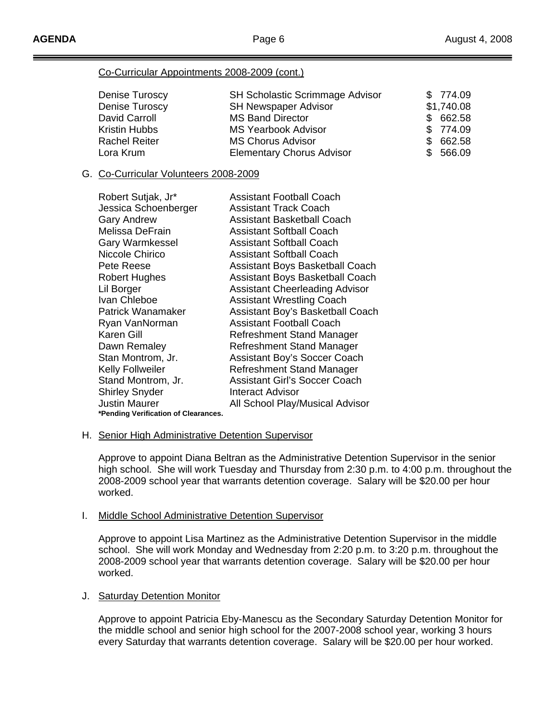### Co-Curricular Appointments 2008-2009 (cont.)

| Denise Turoscy       | <b>SH Scholastic Scrimmage Advisor</b> | \$774.09      |
|----------------------|----------------------------------------|---------------|
| Denise Turoscy       | <b>SH Newspaper Advisor</b>            | \$1,740.08    |
| David Carroll        | <b>MS Band Director</b>                | \$662.58      |
| Kristin Hubbs        | <b>MS Yearbook Advisor</b>             | \$774.09      |
| <b>Rachel Reiter</b> | <b>MS Chorus Advisor</b>               | 662.58<br>\$. |
| Lora Krum            | <b>Elementary Chorus Advisor</b>       | 566.09        |

### G. Co-Curricular Volunteers 2008-2009

| Robert Sutjak, Jr*                   | Assistant Football Coach               |
|--------------------------------------|----------------------------------------|
| Jessica Schoenberger                 | Assistant Track Coach                  |
| <b>Gary Andrew</b>                   | Assistant Basketball Coach             |
| Melissa DeFrain                      | <b>Assistant Softball Coach</b>        |
| <b>Gary Warmkessel</b>               | <b>Assistant Softball Coach</b>        |
| Niccole Chirico                      | <b>Assistant Softball Coach</b>        |
| Pete Reese                           | <b>Assistant Boys Basketball Coach</b> |
| <b>Robert Hughes</b>                 | Assistant Boys Basketball Coach        |
| Lil Borger                           | <b>Assistant Cheerleading Advisor</b>  |
| Ivan Chleboe                         | <b>Assistant Wrestling Coach</b>       |
| Patrick Wanamaker                    | Assistant Boy's Basketball Coach       |
| Ryan VanNorman                       | <b>Assistant Football Coach</b>        |
| Karen Gill                           | Refreshment Stand Manager              |
| Dawn Remaley                         | Refreshment Stand Manager              |
| Stan Montrom, Jr.                    | <b>Assistant Boy's Soccer Coach</b>    |
| <b>Kelly Follweiler</b>              | Refreshment Stand Manager              |
| Stand Montrom, Jr.                   | <b>Assistant Girl's Soccer Coach</b>   |
| <b>Shirley Snyder</b>                | Interact Advisor                       |
| <b>Justin Maurer</b>                 | All School Play/Musical Advisor        |
| *Pending Verification of Clearances. |                                        |

#### H. Senior High Administrative Detention Supervisor

 Approve to appoint Diana Beltran as the Administrative Detention Supervisor in the senior high school. She will work Tuesday and Thursday from 2:30 p.m. to 4:00 p.m. throughout the 2008-2009 school year that warrants detention coverage. Salary will be \$20.00 per hour worked.

#### I. Middle School Administrative Detention Supervisor

 Approve to appoint Lisa Martinez as the Administrative Detention Supervisor in the middle school. She will work Monday and Wednesday from 2:20 p.m. to 3:20 p.m. throughout the 2008-2009 school year that warrants detention coverage. Salary will be \$20.00 per hour worked.

#### J. Saturday Detention Monitor

 Approve to appoint Patricia Eby-Manescu as the Secondary Saturday Detention Monitor for the middle school and senior high school for the 2007-2008 school year, working 3 hours every Saturday that warrants detention coverage. Salary will be \$20.00 per hour worked.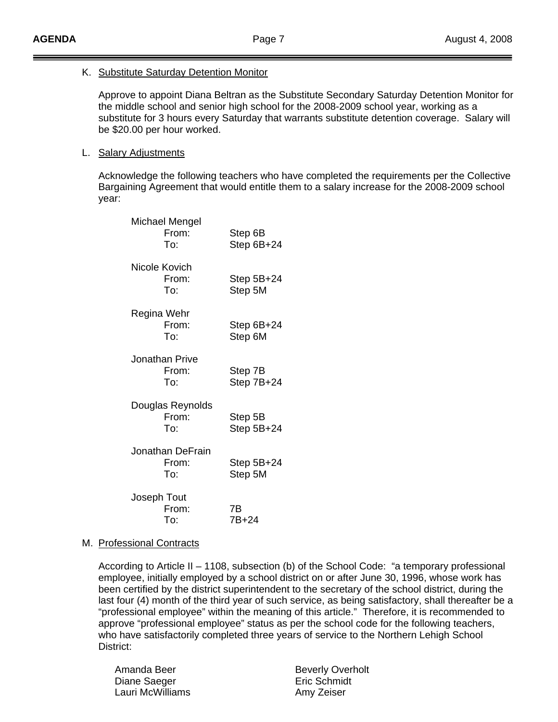#### K. Substitute Saturday Detention Monitor

 Approve to appoint Diana Beltran as the Substitute Secondary Saturday Detention Monitor for the middle school and senior high school for the 2008-2009 school year, working as a substitute for 3 hours every Saturday that warrants substitute detention coverage. Salary will be \$20.00 per hour worked.

#### L. Salary Adjustments

Acknowledge the following teachers who have completed the requirements per the Collective Bargaining Agreement that would entitle them to a salary increase for the 2008-2009 school year:

|               | Michael Mengel<br>From:<br>To:   | Step 6B<br>Step 6B+24   |
|---------------|----------------------------------|-------------------------|
| Nicole Kovich | From:<br>To:                     | Step $5B+24$<br>Step 5M |
| Regina Wehr   | From:<br>To:                     | Step 6B+24<br>Step 6M   |
|               | Jonathan Prive<br>From:<br>To:   | Step 7B<br>Step 7B+24   |
|               | Douglas Reynolds<br>From:<br>To: | Step 5B<br>Step 5B+24   |
|               | Jonathan DeFrain<br>From:<br>To: | Step $5B+24$<br>Step 5M |
| Joseph Tout   | From:<br>To:                     | 7B<br>7B+24             |

#### M. Professional Contracts

 According to Article II – 1108, subsection (b) of the School Code: "a temporary professional employee, initially employed by a school district on or after June 30, 1996, whose work has been certified by the district superintendent to the secretary of the school district, during the last four (4) month of the third year of such service, as being satisfactory, shall thereafter be a "professional employee" within the meaning of this article." Therefore, it is recommended to approve "professional employee" status as per the school code for the following teachers, who have satisfactorily completed three years of service to the Northern Lehigh School District:

| Amanda Beer      |
|------------------|
| Diane Saeger     |
| Lauri McWilliams |

**Beverly Overholt** Eric Schmidt Amy Zeiser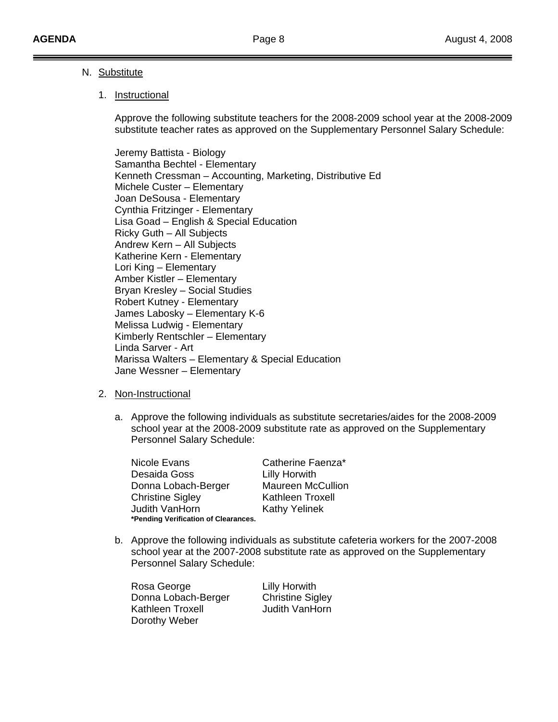### N. Substitute

#### 1. Instructional

 Approve the following substitute teachers for the 2008-2009 school year at the 2008-2009 substitute teacher rates as approved on the Supplementary Personnel Salary Schedule:

 Jeremy Battista - Biology Samantha Bechtel - Elementary Kenneth Cressman – Accounting, Marketing, Distributive Ed Michele Custer – Elementary Joan DeSousa - Elementary Cynthia Fritzinger - Elementary Lisa Goad – English & Special Education Ricky Guth – All Subjects Andrew Kern – All Subjects Katherine Kern - Elementary Lori King – Elementary Amber Kistler – Elementary Bryan Kresley – Social Studies Robert Kutney - Elementary James Labosky – Elementary K-6 Melissa Ludwig - Elementary Kimberly Rentschler – Elementary Linda Sarver - Art Marissa Walters – Elementary & Special Education Jane Wessner – Elementary

#### 2. Non-Instructional

a. Approve the following individuals as substitute secretaries/aides for the 2008-2009 school year at the 2008-2009 substitute rate as approved on the Supplementary Personnel Salary Schedule:

Nicole Evans Catherine Faenza\* Desaida Goss Lilly Horwith Donna Lobach-Berger Maureen McCullion Christine Sigley **Kathleen Troxell** Judith VanHorn Kathy Yelinek **\*Pending Verification of Clearances.** 

b. Approve the following individuals as substitute cafeteria workers for the 2007-2008 school year at the 2007-2008 substitute rate as approved on the Supplementary Personnel Salary Schedule:

Rosa George **Lilly Horwith** Donna Lobach-Berger Christine Sigley Kathleen Troxell **Judith VanHorn** Dorothy Weber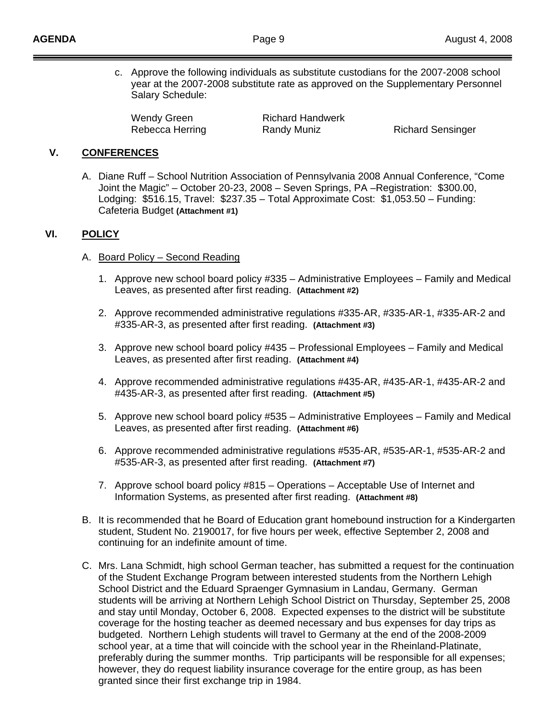c. Approve the following individuals as substitute custodians for the 2007-2008 school year at the 2007-2008 substitute rate as approved on the Supplementary Personnel Salary Schedule:

Wendy Green Richard Handwerk Rebecca Herring **Randy Muniz** Richard Sensinger

### **V. CONFERENCES**

A. Diane Ruff – School Nutrition Association of Pennsylvania 2008 Annual Conference, "Come Joint the Magic" – October 20-23, 2008 – Seven Springs, PA –Registration: \$300.00, Lodging: \$516.15, Travel: \$237.35 – Total Approximate Cost: \$1,053.50 – Funding: Cafeteria Budget **(Attachment #1)**

### **VI. POLICY**

- A. Board Policy Second Reading
	- 1. Approve new school board policy #335 Administrative Employees Family and Medical Leaves, as presented after first reading. **(Attachment #2)**
	- 2. Approve recommended administrative regulations #335-AR, #335-AR-1, #335-AR-2 and #335-AR-3, as presented after first reading. **(Attachment #3)**
	- 3. Approve new school board policy #435 Professional Employees Family and Medical Leaves, as presented after first reading. **(Attachment #4)**
	- 4. Approve recommended administrative regulations #435-AR, #435-AR-1, #435-AR-2 and #435-AR-3, as presented after first reading. **(Attachment #5)**
	- 5. Approve new school board policy #535 Administrative Employees Family and Medical Leaves, as presented after first reading. **(Attachment #6)**
	- 6. Approve recommended administrative regulations #535-AR, #535-AR-1, #535-AR-2 and #535-AR-3, as presented after first reading. **(Attachment #7)**
	- 7. Approve school board policy #815 Operations Acceptable Use of Internet and Information Systems, as presented after first reading. **(Attachment #8)**
- B. It is recommended that he Board of Education grant homebound instruction for a Kindergarten student, Student No. 2190017, for five hours per week, effective September 2, 2008 and continuing for an indefinite amount of time.
- C. Mrs. Lana Schmidt, high school German teacher, has submitted a request for the continuation of the Student Exchange Program between interested students from the Northern Lehigh School District and the Eduard Spraenger Gymnasium in Landau, Germany. German students will be arriving at Northern Lehigh School District on Thursday, September 25, 2008 and stay until Monday, October 6, 2008. Expected expenses to the district will be substitute coverage for the hosting teacher as deemed necessary and bus expenses for day trips as budgeted. Northern Lehigh students will travel to Germany at the end of the 2008-2009 school year, at a time that will coincide with the school year in the Rheinland-Platinate, preferably during the summer months. Trip participants will be responsible for all expenses; however, they do request liability insurance coverage for the entire group, as has been granted since their first exchange trip in 1984.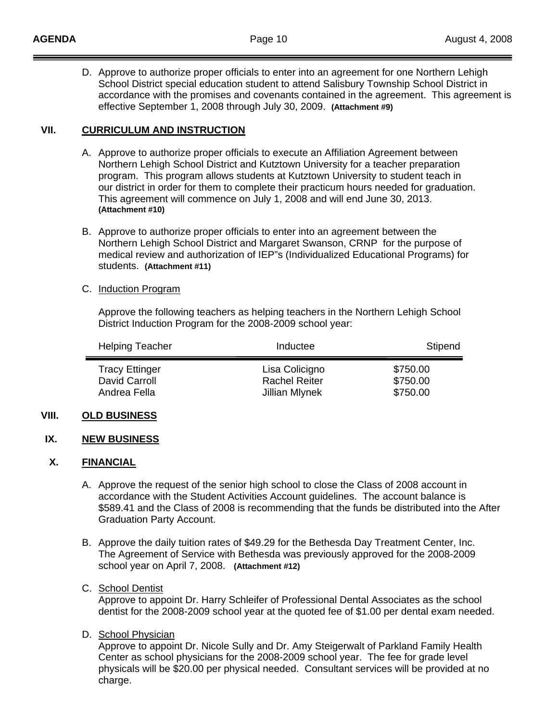D. Approve to authorize proper officials to enter into an agreement for one Northern Lehigh School District special education student to attend Salisbury Township School District in accordance with the promises and covenants contained in the agreement. This agreement is effective September 1, 2008 through July 30, 2009. **(Attachment #9)** 

### **VII. CURRICULUM AND INSTRUCTION**

- A. Approve to authorize proper officials to execute an Affiliation Agreement between Northern Lehigh School District and Kutztown University for a teacher preparation program. This program allows students at Kutztown University to student teach in our district in order for them to complete their practicum hours needed for graduation. This agreement will commence on July 1, 2008 and will end June 30, 2013. **(Attachment #10)**
- B. Approve to authorize proper officials to enter into an agreement between the Northern Lehigh School District and Margaret Swanson, CRNP for the purpose of medical review and authorization of IEP"s (Individualized Educational Programs) for students. **(Attachment #11)**

### C. Induction Program

 Approve the following teachers as helping teachers in the Northern Lehigh School District Induction Program for the 2008-2009 school year:

| <b>Helping Teacher</b>                 | Inductee                               | Stipend              |
|----------------------------------------|----------------------------------------|----------------------|
| <b>Tracy Ettinger</b><br>David Carroll | Lisa Colicigno<br><b>Rachel Reiter</b> | \$750.00<br>\$750.00 |
| Andrea Fella                           | Jillian Mlynek                         | \$750.00             |

### **VIII. OLD BUSINESS**

#### **IX. NEW BUSINESS**

#### **X. FINANCIAL**

- A. Approve the request of the senior high school to close the Class of 2008 account in accordance with the Student Activities Account guidelines. The account balance is \$589.41 and the Class of 2008 is recommending that the funds be distributed into the After Graduation Party Account.
- B. Approve the daily tuition rates of \$49.29 for the Bethesda Day Treatment Center, Inc. The Agreement of Service with Bethesda was previously approved for the 2008-2009 school year on April 7, 2008. **(Attachment #12)**

### C. School Dentist

 Approve to appoint Dr. Harry Schleifer of Professional Dental Associates as the school dentist for the 2008-2009 school year at the quoted fee of \$1.00 per dental exam needed.

D. School Physician

 Approve to appoint Dr. Nicole Sully and Dr. Amy Steigerwalt of Parkland Family Health Center as school physicians for the 2008-2009 school year. The fee for grade level physicals will be \$20.00 per physical needed. Consultant services will be provided at no charge.